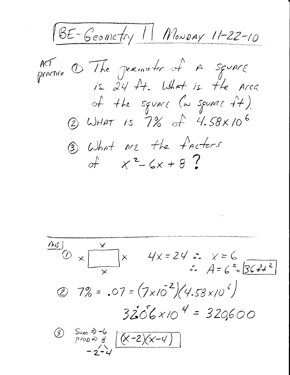BE-Geometry 11 Monday 11-22-10

ACT  $\sigma$  The permeter of a square<br>precise  $\sigma$  is 24 ft. What is the Arca of the square (in square ++). 2 WHAT is 7% of 4.58×106 3) What are the factors of  $x^2-6x+8$ ?

ANS  $x = \frac{x}{x}$ <br> $\frac{x}{x}$   $4x = 24$   $\therefore x = 6$ <br> $\therefore A = 6$   $\frac{2}{5641}$  $(2) 7\% = .07 = (7 \times 10^{-2}) (4.58 \times 10^{-6})$  $3206\times104 = 320600$ Sum =>-6<br>prop=> 8 (X-2)(X-4)  $\circled{3}$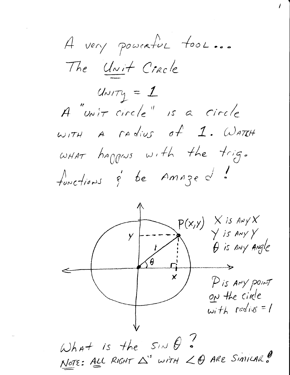A very powerful tool... The Unit Cracle  $u_{N}$  $\tau_{1}$  = 1 A "unit circle" is a circle  $w$ ITH A radius of 1. WATCH WHAT happens with the trig. functions & be Amaged.

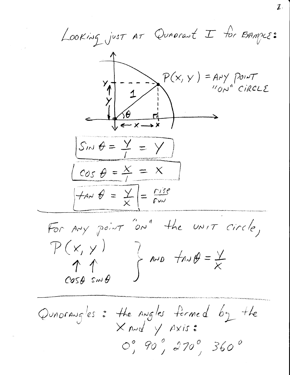LOOKING just AT QuADrant I for EXAMPLE:  $P(x, y) = A_1 y \text{point}$ "ON" CIRCLE  $Sm\theta = \frac{y}{I} = y$  $\cos \theta = \frac{x}{l} = x$  $tan \theta = \frac{y}{x}$  =  $\frac{fize}{x}$ 

For Any point "on" the UNIT circle,  $P(x, y)$  $\leftarrow$  AND  $\neq$  AND  $\neq$  $\uparrow \uparrow$  $cos\theta$   $sin\theta$ 

Quadrangles: the angles formed by the  $\times$  And  $\sqrt{$  Axis:  $O_{J}^{\circ}$  90  $_{J}^{\circ}$  270  $_{J}^{\circ}$  360  $^{\circ}$ 

 $\boldsymbol{\mathcal{I}}$  .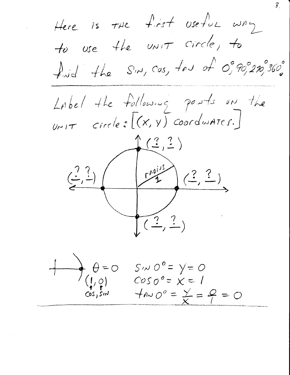$\mathcal{Z}_1$ Here is the first useful way to use the UNIT circle, to finid the Sin, Cas, tow of  $O_f^o$ 90,20,000 Label the following points on the  $Urit = circle : [(x, y)] coordwhere.]$  $\mathcal{L}(\mathcal{Z}, \mathcal{Z})$  $(\frac{7}{4}, \frac{7}{4})$  $\theta = 0$ <br>(1, 0)<br>Cos, Sin  $S/N$   $O^o = V = O$  $cos\ 0^{\circ} = x = 1$  $\pi A \sim \circlearrowright^{\circ} = \frac{\vee}{\times} = \frac{\circ}{\cdot} = \circlearrowright$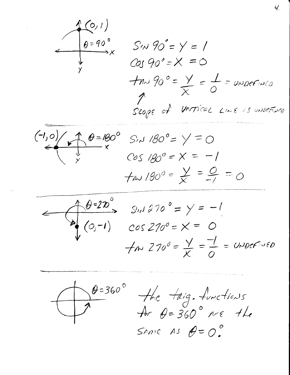

 $(0,1)$ <br>  $0=90^{\circ}$ <br>  $(0,1)$ <br>  $S/N = Y = 1$ <br>  $COS 90^{\circ} = X = 0$  $\frac{1}{2}mv^{0} = \frac{y}{x} = \frac{1}{0} = upper we$ Toge of vertical Line is unvertised

 $(1,0)$ <br>  $(4,0)$ <br>  $(4,0)$ <br>  $(4,0)$ <br>  $(4,0)$ <br>  $(4,0)$ <br>  $(5,1,180)$ <br>  $(5,1,180)$ <br>  $(5,1,180)$ <br>  $(5,1,180)$ <br>  $(5,1,180)$ <br>  $(5,1,180)$ <br>  $(5,1,180)$  $f$ *p* $\sim$  180<sup>0</sup> =  $\frac{y}{x} = \frac{0}{-1} = 0$ 





 $\theta=360°$  the trig. functions<br>for  $\theta=360°$  are the Same As  $\theta = 0$ .

Ч.